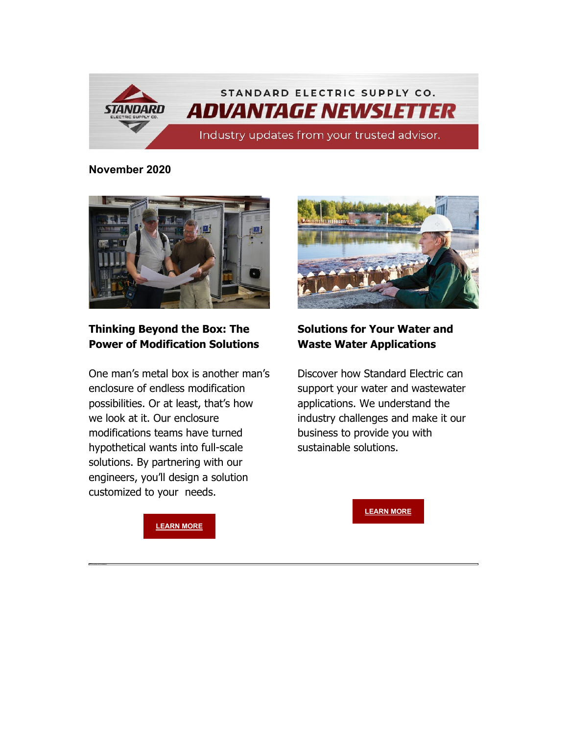

**November 2020**



## **Thinking Beyond the Box: The Power of Modification Solutions**

One man's metal box is another man's enclosure of endless modification possibilities. Or at least, that's how we look at it. Our enclosure modifications teams have turned hypothetical wants into full-scale solutions. By partnering with our engineers, you'll design a solution customized to your needs.



## **Solutions for Your Water and Waste Water Applications**

Discover how Standard Electric can support your water and wastewater applications. We understand the industry challenges and make it our business to provide you with sustainable solutions.

**[LEARN MORE](https://nam04.safelinks.protection.outlook.com/?url=https%3A%2F%2Finfo.standardelectricsupply.com%2Fe2t%2Ftc%2FVVnL5T9bc0s-W14c7tv5TvjdwW1zSvF_4jM4VRM9V8lt3p_b1V1-WJV7CgPrbW4pWdgJ2NvZMWW2YzKgq1MQLRfW4W0DsY8n3h0DW7jNmY_3TwYw3W7c1FbT3Ll-_bW3HHBhB6vDLw8N1N34XkWVZQpW2hMxd093b93kW6st03284DMj0MQcwsMfGy3gN1gpx_Jmf_rxW94pCLh5kX6C1N97q4fHv1lHGW1ZX1GY51Q3z3W87KPQ75l5B9VW39JBNM98RQqRW6Ft0l75vt1-jN8s7F-HV26Q_W7-qNnS72ttSZW7J0j674SyP0sW3GBwwM5YM-gCM95F26nk2SgW3KGZYz19jpBVW4rtlKp3Hjc7vW27JMVM8RHW_xW6G0bV81YrtTvW85Q7f_1mn3rmW56kzy24jwJPnW1Y-zv81-Vc6bW7TwhWd7xVq6n3jgw1&data=04%7C01%7Cdgebelein%40standardelectricsupply.com%7C169e1d432b184817739808d88fbaeb49%7C4b02a9df33c0464e84121b8c3bcfec3c%7C0%7C0%7C637417380259992289%7CUnknown%7CTWFpbGZsb3d8eyJWIjoiMC4wLjAwMDAiLCJQIjoiV2luMzIiLCJBTiI6Ik1haWwiLCJXVCI6Mn0%3D%7C1000&sdata=6bz8CXd4tcYt7qvcdPcFrT00N%2Fgml%2Fnn5wmTGvekbG8%3D&reserved=0)** 

**[LEARN MORE](https://nam04.safelinks.protection.outlook.com/?url=https%3A%2F%2Finfo.standardelectricsupply.com%2Fe2t%2Ftc%2FVVnL5T9bc0s-W14c7tv5TvjdwW1zSvF_4jM4VRM9V8jp5nxG7V3Zsc37CgXLQW2byrpW2zBwRVVb2_sf3-RQ4hW3v2nwP8PvqP4W2MFSrL5NmNyzW7pKjQ_75nYWwW5QrpXb34svhbMXK3Xl4pn48W3yTQz63yccR6W7VdLNk7rBJsRW7J2scQ2MQ_W5W5Ks8995T_s5JW7tBXky8dSnJ-W1hB05W2L7vgFW1wP2R556r7_4Vqc9Ws5FnTNmW8BGrr665mcq0W7KRf_R6V6vx9W3hYcfK65TdlSW6PpFV86VrcjRW5dp7dZ3rMsM6N9bxlg2rX2_mW3rcQB51Z-1gxN6S_1fPzXxpnN4bl794SHvcXW2mHtP62_ZNVBW2bkNtF2FQPX3W2brRdJ5VkXskW4Y0BRW3CbmrPW43Qy9-6NC4hRW2yqLLy3FG-jQW8wVzG_7K529HMtfLxpd89FZ36M-1&data=04%7C01%7Cdgebelein%40standardelectricsupply.com%7C169e1d432b184817739808d88fbaeb49%7C4b02a9df33c0464e84121b8c3bcfec3c%7C0%7C0%7C637417380260002245%7CUnknown%7CTWFpbGZsb3d8eyJWIjoiMC4wLjAwMDAiLCJQIjoiV2luMzIiLCJBTiI6Ik1haWwiLCJXVCI6Mn0%3D%7C1000&sdata=h5Ya8XFgLJHzdIyPsmtKugR68soDda93Z23QpwgsmBw%3D&reserved=0)**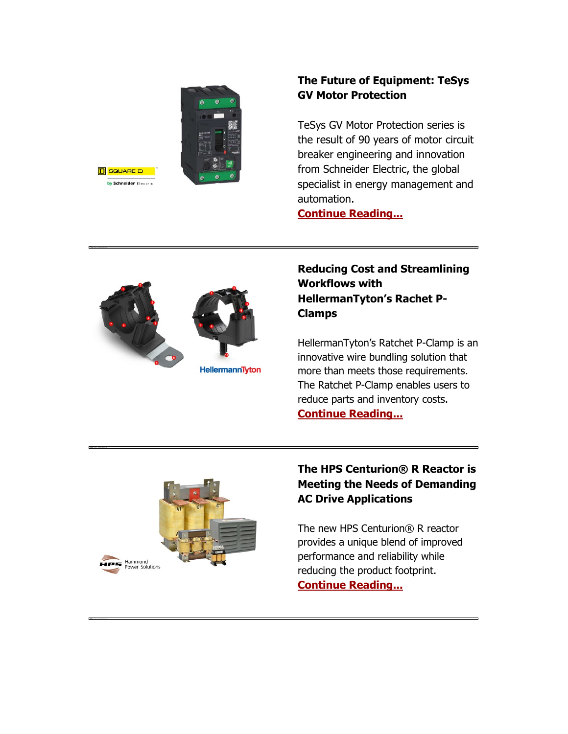



# **The Future of Equipment: TeSys GV Motor Protection**

TeSys GV Motor Protection series is the result of 90 years of motor circuit breaker engineering and innovation from Schneider Electric, the global specialist in energy management and automation.

**[Continue Reading...](https://nam04.safelinks.protection.outlook.com/?url=https%3A%2F%2Finfo.standardelectricsupply.com%2Fe2t%2Ftc%2FVVnL5T9bc0s-W14c7tv5TvjdwW1zSvF_4jM4VRM9V8jp5nxG7V3Zsc37CgQpWW2zg_wB2mKB2KN1W6c8vcPtzFW1QxpTK6hlwbVVJg9sh7p2sLZW33lPtV4f_fDyW84Vhy44cs43yW7gN0vJ98Y5RfW8-sKDh6GDbMlW3K1dC72V43MJVQWKYv31wHP0W967NyK3ZRdkhW54dT3n8VZ-pPVqXJnK8R5wGTW2XjVw47SW94PN7P0dfnT0TBVW2q74Xd1Zw-V9W3NZsQR76tt7DVH9R331-4slDW1P1wQ33yxn_qVnvBZY38PyFfW5Mv63x1xYfsfW4Q7cXW6B0crKW7B06Q922dxSMF6ScNhKV_XhW8ndrQz5-6xXYW5-sf3G2SR8VLN7Mgh_pXHx9vN5XtkPNmnH_YW64ZT8P5qsYS1M4G1jRgXyZlW2ccLW82z_S7jW37pRHl8R1R7f3gZr1&data=04%7C01%7Cdgebelein%40standardelectricsupply.com%7C169e1d432b184817739808d88fbaeb49%7C4b02a9df33c0464e84121b8c3bcfec3c%7C0%7C0%7C637417380260012206%7CUnknown%7CTWFpbGZsb3d8eyJWIjoiMC4wLjAwMDAiLCJQIjoiV2luMzIiLCJBTiI6Ik1haWwiLCJXVCI6Mn0%3D%7C1000&sdata=AxHGnnmwWDWx5j4iBM9o%2FF28gJ9RkQb0Eh9CTtFAxUk%3D&reserved=0)**



**Reducing Cost and Streamlining Workflows with HellermanTyton's Rachet P-Clamps**

HellermanTyton's Ratchet P-Clamp is an innovative wire bundling solution that more than meets those requirements. The Ratchet P-Clamp enables users to reduce parts and inventory costs. **[Continue Reading...](https://nam04.safelinks.protection.outlook.com/?url=https%3A%2F%2Finfo.standardelectricsupply.com%2Fe2t%2Ftc%2FVVnL5T9bc0s-W14c7tv5TvjdwW1zSvF_4jM4VRM9V8lt3p_b1V1-WJV7CgQL7W1nFC651JS2dtN2f30cv5THXWW8d9pgX6FMTNBW12RP0f2jc3MQW4RvDNv5nK9ktN1VtkktSzh3lN6KFF6cL2GwdW8-F7kc82ldSrW8dRjPn63ncFKW6wPh9b4Sm8nwN8pM4VCGxMkVW54qbPY1RywbcW2xqj-n1HSygFN5Zl91qxZYjBW6N4XQh79sLxBW8Jq0x27WGwyDN4p77hRD6zTHW5jNJDD4tjKL_W8tXw6W2hPw2RW60_drZ5c-0K8W9kQfMC7C01dSW4_SzbJ7tvhdsW27FNVw3glXWrW2xm_fC3xcbyXW8nHB-m4qCZVyW1FTPQ12Qs9xRVjpKqR1BRCC6W2K9gsz3KmdWPW71f0wx6YKn0MW5htd202fQDj637C41&data=04%7C01%7Cdgebelein%40standardelectricsupply.com%7C169e1d432b184817739808d88fbaeb49%7C4b02a9df33c0464e84121b8c3bcfec3c%7C0%7C0%7C637417380260022154%7CUnknown%7CTWFpbGZsb3d8eyJWIjoiMC4wLjAwMDAiLCJQIjoiV2luMzIiLCJBTiI6Ik1haWwiLCJXVCI6Mn0%3D%7C1000&sdata=W6ZFtC1sLxKUK1ByrqBDTIkc7L7IwZF7LUAQsuxcqrI%3D&reserved=0)**



## **The HPS Centurion® R Reactor is Meeting the Needs of Demanding AC Drive Applications**

The new HPS Centurion® R reactor provides a unique blend of improved performance and reliability while reducing the product footprint. **[Continue Reading...](https://nam04.safelinks.protection.outlook.com/?url=https%3A%2F%2Finfo.standardelectricsupply.com%2Fe2t%2Ftc%2FVVnL5T9bc0s-W14c7tv5TvjdwW1zSvF_4jM4VRM9V8lt3p_b1V1-WJV7CgGDKF28gyv4KQCQW352b6Q3hdW3vW3FzpCr7SdDnTN4crG12BBMbsW6N1hds7190b1W9jDbRm3qMxQHW5ZcDY12Vy-j5W8dPrqx1zTPXjW4SYTsk8s6YV7W47QwHk2p-75kW3XhXhs8TZ8KnW5pcJhB4HvMX8W8rjn0x4FY_xKN2Z_Prcy92t9W40BBjW71J6mqW8lKNWl6BZ2r5W5mtTzM4SJk82W64qB2b3S2nV2W3VvgkH53yQSWW4dtJm58bvwkSN4YtG8wG8TYyW9jqyD14hTlX5W9bRDtf16BnLHW7__wcm82S0GnW8WfPQs4YPFf6N5Y4d7T831cDW5CfjV_3Zv8XjVrdzC68mcS9FVbVj8m51BHqZW8mdV6417G0Y23fsW1&data=04%7C01%7Cdgebelein%40standardelectricsupply.com%7C169e1d432b184817739808d88fbaeb49%7C4b02a9df33c0464e84121b8c3bcfec3c%7C0%7C0%7C637417380260032110%7CUnknown%7CTWFpbGZsb3d8eyJWIjoiMC4wLjAwMDAiLCJQIjoiV2luMzIiLCJBTiI6Ik1haWwiLCJXVCI6Mn0%3D%7C1000&sdata=%2BjjiECC8qTJk81QNMff2jPKJabOHDf0JvnR0oP%2BZta0%3D&reserved=0)**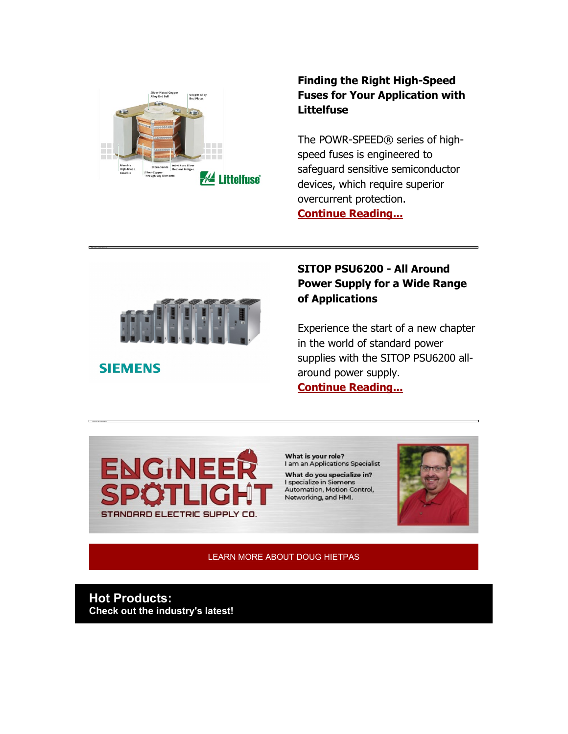

#### **Finding the Right High-Speed Fuses for Your Application with Littelfuse**

The POWR-SPEED® series of highspeed fuses is engineered to safeguard sensitive semiconductor devices, which require superior overcurrent protection. **[Continue Reading...](https://nam04.safelinks.protection.outlook.com/?url=https%3A%2F%2Finfo.standardelectricsupply.com%2Fe2t%2Ftc%2FVVnL5T9bc0s-W14c7tv5TvjdwW1zSvF_4jM4VRM9V8lt3p_b1V1-WJV7CgZX1W7rR0fD6kHS79W8QZC7F6h541ZW510TjL5-j67YW8kVrhR4q61QyW5kMyMv73qf9KW4Rjggj7vg4p-W4DnrT48CPbXWW5DR3hV7y1CSWW2vV5c23rpqcrW2-XPsq7Rbz17W3RMPnP3qYdFtW6vJDrm6sn0JmW4thZ_f5LJHMPW7N4zhG6Bt5GTV_qW3-1xkjCrW2_mhtf7_fYdkW816XTH7Dg6_pW7lNS0f8WDX5NVc_DSl632n-_W1ZS07-7ScLdlW6tvJFm5j5dwxN22LscBgVRKPW8S4PdD4fBDn0W4SZvlD4gSCdsW2Yn15s9bzJr_W7td21Q6X7r7lW56x9Ng2pvwL-W7WMTVc1wKQ6qW6hlPSX25RgyzVhJ0888dhG3Q3m5_1&data=04%7C01%7Cdgebelein%40standardelectricsupply.com%7C169e1d432b184817739808d88fbaeb49%7C4b02a9df33c0464e84121b8c3bcfec3c%7C0%7C0%7C637417380260042067%7CUnknown%7CTWFpbGZsb3d8eyJWIjoiMC4wLjAwMDAiLCJQIjoiV2luMzIiLCJBTiI6Ik1haWwiLCJXVCI6Mn0%3D%7C1000&sdata=UIfmdq6Lxss9iJNhbxx0oVfzAkc6fM%2FLQF%2Fo18XfmoY%3D&reserved=0)**



**SIEMENS** 

#### **SITOP PSU6200 - All Around Power Supply for a Wide Range of Applications**

Experience the start of a new chapter in the world of standard power supplies with the SITOP PSU6200 allaround power supply. **[Continue Reading...](https://nam04.safelinks.protection.outlook.com/?url=https%3A%2F%2Finfo.standardelectricsupply.com%2Fe2t%2Ftc%2FVVnL5T9bc0s-W14c7tv5TvjdwW1zSvF_4jM4VRM9V8lt3p_b1V1-WJV7CgFYDW1Q36Bc8vz_ZlW2pJpPb3lh9w0W7L335j8sNg9fW8TdlNf8PMmvzW1xC-Tf9fHZPDW7nN-JP8LFvlRW99y3rg50s3ZsW9fP6J46ZMVZXW4x1wx36glx2nW4z2NBc7d5mlsW8BP9XH353xPmW6b9ZmM70L3g7W66SkFD8l5SChW7r96pm9jgG72N8lxJqPWrXF-W56Y33K86BMVcVnbpBP2zV7J2W6J70sP2gtWBRW3sVG9P6rxg9BW5NJG5y6YxFH6W38yJWk1RhB_fVLs2C47R_GHTV5g1fm5g_B-FW6fFPXj9cz-knW9cxMqh5mtVPsW8QfYDs649qndW6nHncQ1SNfZPW7T6WjH4vfdS1W3D35rs2hy4RpW1zbKvR5gZR3x364_1&data=04%7C01%7Cdgebelein%40standardelectricsupply.com%7C169e1d432b184817739808d88fbaeb49%7C4b02a9df33c0464e84121b8c3bcfec3c%7C0%7C0%7C637417380260042067%7CUnknown%7CTWFpbGZsb3d8eyJWIjoiMC4wLjAwMDAiLCJQIjoiV2luMzIiLCJBTiI6Ik1haWwiLCJXVCI6Mn0%3D%7C1000&sdata=p%2By8s2ncYO3axqiSz4CorCR4t1C1yyXnKrwi2ceJFLo%3D&reserved=0)**



What is your role? I am an Applications Specialist What do you specialize in? I specialize in Siemens Automation, Motion Control,

Networking, and HMI.



[LEARN MORE ABOUT DOUG HIETPAS](https://nam04.safelinks.protection.outlook.com/?url=https%3A%2F%2Finfo.standardelectricsupply.com%2Fe2t%2Ftc%2FVVnL5T9bc0s-W14c7tv5TvjdwW1zSvF_4jM4VRM9V8lt3p_b1V1-WJV7CgKYGW2kpQh6146DrmW2bHXW_24Fb3jW64QD5w2ZyxflW1m6nwQ6JGkxnW8ksRTF97b1YxW4zS5D69gzBd9N1hzpsyGSLcRW5j5SN94BSzfqW8r7VC46T24yvW5mzwc-4j9ZB_W6_YsKr8xCHXMVzmhXZ1y2LhDW2XykhD2QjgV1W8B23753W0DJWW1gl5LZ2d1ksnSH0s32ftzwW1z9qWy92t-68N3kSvbRfgrrTW3_5d_t4QzvsZVBlvdh1Y29v4VgMGfB49GrKKW6f2NHX8zYmpgW5hrMgl4TcvzmW92JnYR4R02mDW6thMjw7Y9v0QW6WhYpH241bjZW781nKK513CknW5r2MBy4hR0sjW2BGnKN8PgHk7W7bwxL67DTPBJ2wY1&data=04%7C01%7Cdgebelein%40standardelectricsupply.com%7C169e1d432b184817739808d88fbaeb49%7C4b02a9df33c0464e84121b8c3bcfec3c%7C0%7C0%7C637417380260052025%7CUnknown%7CTWFpbGZsb3d8eyJWIjoiMC4wLjAwMDAiLCJQIjoiV2luMzIiLCJBTiI6Ik1haWwiLCJXVCI6Mn0%3D%7C1000&sdata=ORUa8mfxTT2zQfBr04w%2FefmHHe5X3p1fKyByPhHfuhY%3D&reserved=0) 

**Hot Products: Check out the industry's latest!**